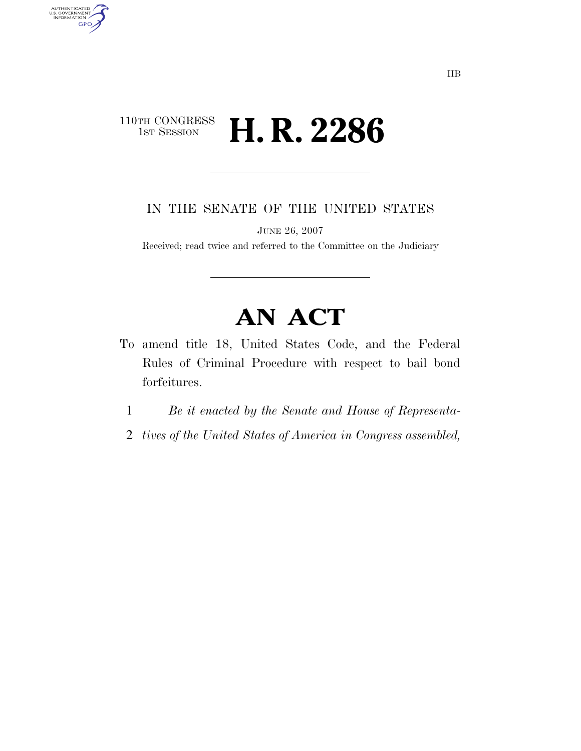## $\begin{array}{c} \textbf{110TH CONGRESS} \\ \textbf{1ST SESION} \end{array}$ H. R. 2286

AUTHENTICATED<br>U.S. GOVERNMENT<br>INFORMATION

**GPO** 

IN THE SENATE OF THE UNITED STATES

JUNE 26, 2007

Received; read twice and referred to the Committee on the Judiciary

# **AN ACT**

- To amend title 18, United States Code, and the Federal Rules of Criminal Procedure with respect to bail bond forfeitures.
	- 1 *Be it enacted by the Senate and House of Representa-*
	- 2 *tives of the United States of America in Congress assembled,*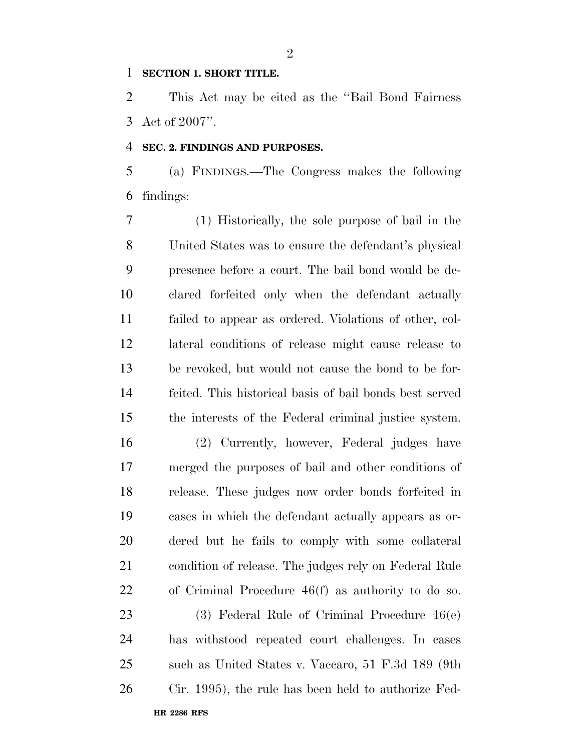#### **SECTION 1. SHORT TITLE.**

 This Act may be cited as the ''Bail Bond Fairness Act of 2007''.

#### **SEC. 2. FINDINGS AND PURPOSES.**

 (a) FINDINGS.—The Congress makes the following findings:

 (1) Historically, the sole purpose of bail in the United States was to ensure the defendant's physical presence before a court. The bail bond would be de- clared forfeited only when the defendant actually failed to appear as ordered. Violations of other, col- lateral conditions of release might cause release to be revoked, but would not cause the bond to be for- feited. This historical basis of bail bonds best served the interests of the Federal criminal justice system.

 (2) Currently, however, Federal judges have merged the purposes of bail and other conditions of release. These judges now order bonds forfeited in cases in which the defendant actually appears as or- dered but he fails to comply with some collateral condition of release. The judges rely on Federal Rule of Criminal Procedure 46(f) as authority to do so.

 (3) Federal Rule of Criminal Procedure 46(e) has withstood repeated court challenges. In cases such as United States v. Vaccaro, 51 F.3d 189 (9th Cir. 1995), the rule has been held to authorize Fed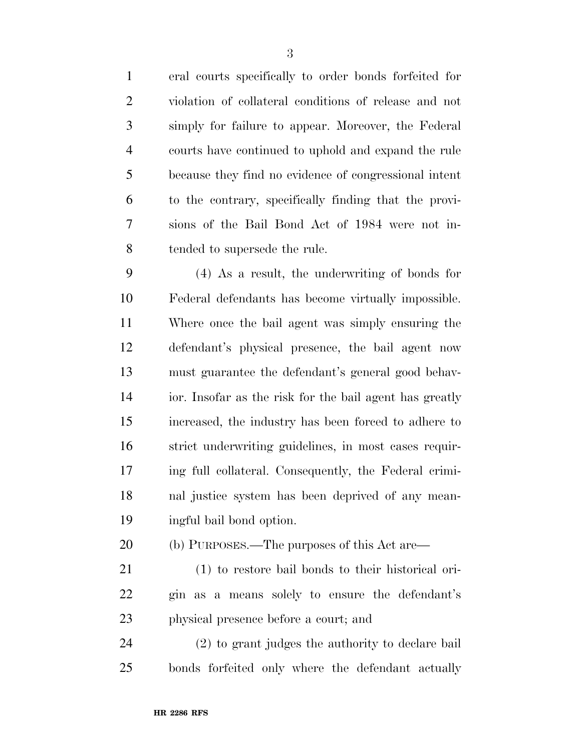eral courts specifically to order bonds forfeited for violation of collateral conditions of release and not simply for failure to appear. Moreover, the Federal courts have continued to uphold and expand the rule because they find no evidence of congressional intent to the contrary, specifically finding that the provi- sions of the Bail Bond Act of 1984 were not in-tended to supersede the rule.

 (4) As a result, the underwriting of bonds for Federal defendants has become virtually impossible. Where once the bail agent was simply ensuring the defendant's physical presence, the bail agent now must guarantee the defendant's general good behav- ior. Insofar as the risk for the bail agent has greatly increased, the industry has been forced to adhere to strict underwriting guidelines, in most cases requir- ing full collateral. Consequently, the Federal crimi- nal justice system has been deprived of any mean-ingful bail bond option.

- (b) PURPOSES.—The purposes of this Act are—
- (1) to restore bail bonds to their historical ori- gin as a means solely to ensure the defendant's physical presence before a court; and

 (2) to grant judges the authority to declare bail bonds forfeited only where the defendant actually